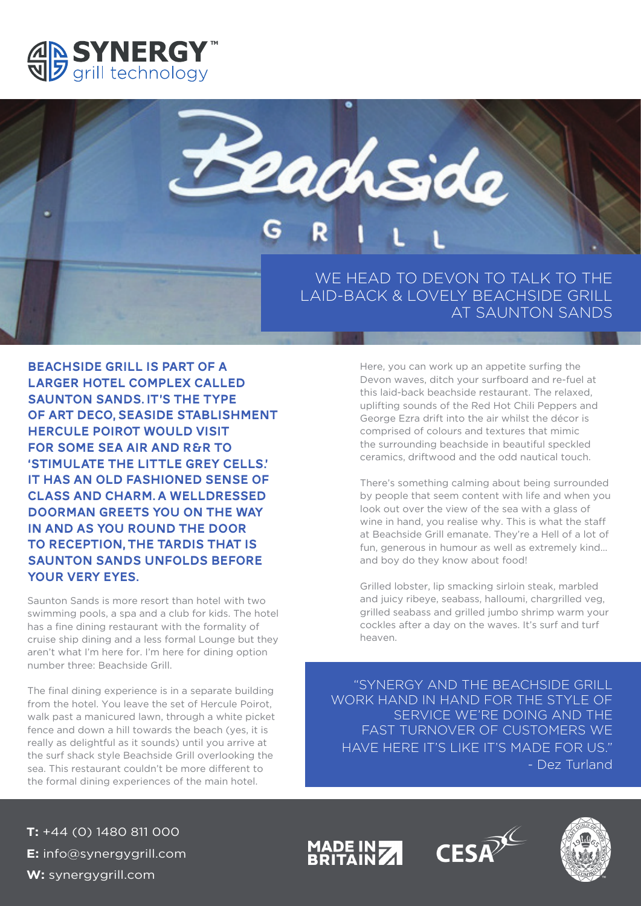



BEACHSIDE GRILL IS PART OF A LARGER HOTEL COMPLEX CALLED SAUNTON SANDS. IT'S THE TYPE OF ART DECO, SEASIDE STABLISHMENT HERCULE POIROT WOULD VISIT FOR SOME SEA AIR AND R&R TO 'STIMULATE THE LITTLE GREY CELLS.' IT HAS AN OLD FASHIONED SENSE OF CLASS AND CHARM. A WELLDRESSED DOORMAN GREETS YOU ON THE WAY IN AND AS YOU ROUND THE DOOR TO RECEPTION, THE TARDIS THAT IS SAUNTON SANDS UNFOLDS BEFORE YOUR VERY EYES.

Saunton Sands is more resort than hotel with two swimming pools, a spa and a club for kids. The hotel has a fine dining restaurant with the formality of cruise ship dining and a less formal Lounge but they aren't what I'm here for. I'm here for dining option number three: Beachside Grill.

The final dining experience is in a separate building from the hotel. You leave the set of Hercule Poirot, walk past a manicured lawn, through a white picket fence and down a hill towards the beach (yes, it is really as delightful as it sounds) until you arrive at the surf shack style Beachside Grill overlooking the sea. This restaurant couldn't be more different to the formal dining experiences of the main hotel.

Here, you can work up an appetite surfing the Devon waves, ditch your surfboard and re-fuel at this laid-back beachside restaurant. The relaxed, uplifting sounds of the Red Hot Chili Peppers and George Ezra drift into the air whilst the décor is comprised of colours and textures that mimic the surrounding beachside in beautiful speckled ceramics, driftwood and the odd nautical touch.

There's something calming about being surrounded by people that seem content with life and when you look out over the view of the sea with a glass of wine in hand, you realise why. This is what the staff at Beachside Grill emanate. They're a Hell of a lot of fun, generous in humour as well as extremely kind… and boy do they know about food!

Grilled lobster, lip smacking sirloin steak, marbled and juicy ribeye, seabass, halloumi, chargrilled veg, grilled seabass and grilled jumbo shrimp warm your cockles after a day on the waves. It's surf and turf heaven.

"SYNERGY AND THE BEACHSIDE GRILL WORK HAND IN HAND FOR THE STYLE OF SERVICE WE'RE DOING AND THE FAST TURNOVER OF CUSTOMERS WE HAVE HERE IT'S LIKE IT'S MADE FOR US." - Dez Turland

**T:** +44 (0) 1480 811 000 **E:** info@synergygrill.com **W:** synergygrill.com

MADE IN